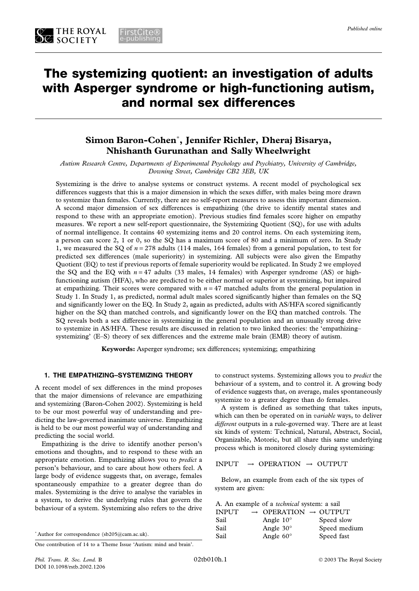# **The systemizing quotient: an investigation of adults with Asperger syndrome or high-functioning autism, and normal sex differences**

# **Simon Baron-Cohen**\* **, Jennifer Richler, Dheraj Bisarya, Nhishanth Gurunathan and Sally Wheelwright**

*Autism Research Centre, Departments of Experimental Psychology and Psychiatry, University of Cambridge, Downing Street, Cambridge CB2 3EB, UK*

Systemizing is the drive to analyse systems or construct systems. A recent model of psychological sex differences suggests that this is a major dimension in which the sexes differ, with males being more drawn to systemize than females. Currently, there are no self-report measures to assess this important dimension. A second major dimension of sex differences is empathizing (the drive to identify mental states and respond to these with an appropriate emotion). Previous studies find females score higher on empathy measures. We report a new self-report questionnaire, the Systemizing Quotient (SQ), for use with adults of normal intelligence. It contains 40 systemizing items and 20 control items. On each systemizing item, a person can score 2, 1 or 0, so the SQ has a maximum score of 80 and a minimum of zero. In Study 1, we measured the SQ of *n* = 278 adults (114 males, 164 females) from a general population, to test for predicted sex differences (male superiority) in systemizing. All subjects were also given the Empathy Quotient (EQ) to test if previous reports of female superiority would be replicated. In Study 2 we employed the SQ and the EQ with *n* = 47 adults (33 males, 14 females) with Asperger syndrome (AS) or highfunctioning autism (HFA), who are predicted to be either normal or superior at systemizing, but impaired at empathizing. Their scores were compared with  $n = 47$  matched adults from the general population in Study 1. In Study 1, as predicted, normal adult males scored significantly higher than females on the SQ and significantly lower on the EQ. In Study 2, again as predicted, adults with AS/HFA scored significantly higher on the SQ than matched controls, and significantly lower on the EQ than matched controls. The SQ reveals both a sex difference in systemizing in the general population and an unusually strong drive to systemize in AS/HFA. These results are discussed in relation to two linked theories: the 'empathizing– systemizing' (E–S) theory of sex differences and the extreme male brain (EMB) theory of autism.

**Keywords:** Asperger syndrome; sex differences; systemizing; empathizing

### **1. THE EMPATHIZING–SYSTEMIZING THEORY**

A recent model of sex differences in the mind proposes that the major dimensions of relevance are empathizing and systemizing (Baron-Cohen 2002). Systemizing is held to be our most powerful way of understanding and predicting the law-governed inanimate universe. Empathizing is held to be our most powerful way of understanding and predicting the social world.

Empathizing is the drive to identify another person's emotions and thoughts, and to respond to these with an appropriate emotion. Empathizing allows you to *predict* a person's behaviour, and to care about how others feel. A large body of evidence suggests that, on average, females spontaneously empathize to a greater degree than do males. Systemizing is the drive to analyse the variables in a system, to derive the underlying rules that govern the behaviour of a system. Systemizing also refers to the drive

to construct systems. Systemizing allows you to *predict* the behaviour of a system, and to control it. A growing body of evidence suggests that, on average, males spontaneously systemize to a greater degree than do females.

A system is defined as something that takes inputs, which can then be operated on in *variable* ways, to deliver *different* outputs in a rule-governed way. There are at least six kinds of system: Technical, Natural, Abstract, Social, Organizable, Motoric, but all share this same underlying process which is monitored closely during systemizing:

# INPUT  $\rightarrow$  OPERATION  $\rightarrow$  OUTPUT

Below, an example from each of the six types of system are given:

| A. An example of a <i>technical</i> system: a sail |  |                                              |              |  |  |
|----------------------------------------------------|--|----------------------------------------------|--------------|--|--|
| <b>INPUT</b>                                       |  | $\rightarrow$ OPERATION $\rightarrow$ OUTPUT |              |  |  |
| Sail                                               |  | Angle $10^{\circ}$                           | Speed slow   |  |  |
| Sail                                               |  | Angle $30^\circ$                             | Speed medium |  |  |
| Sail                                               |  | Angle $60^\circ$                             | Speed fast   |  |  |

<sup>\*</sup> Author for correspondence (sb205@cam.ac.uk).

One contribution of 14 to a Theme Issue 'Autism: mind and brain'.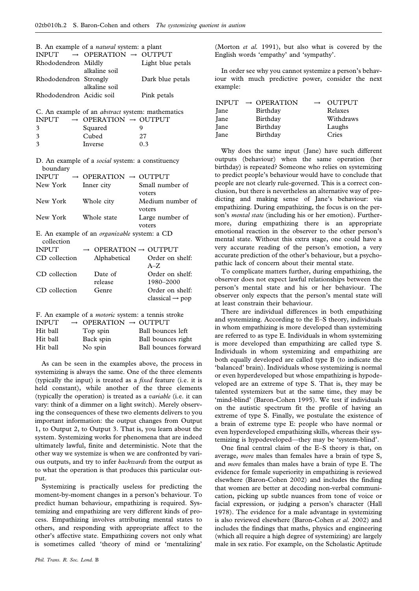|                          | B. An example of a <i>natural</i> system: a plant<br>INPUT $\rightarrow$ OPERATION $\rightarrow$ OUTPUT |                                                |
|--------------------------|---------------------------------------------------------------------------------------------------------|------------------------------------------------|
| Rhododendron Mildly      | alkaline soil                                                                                           | Light blue petals                              |
| Rhododendron Strongly    | alkaline soil                                                                                           | Dark blue petals                               |
| Rhododendron Acidic soil |                                                                                                         | Pink petals                                    |
|                          | C. An example of an <i>abstract</i> system: mathematics                                                 |                                                |
| INPUT                    | $\rightarrow$ OPERATION $\rightarrow$ OUTPUT                                                            |                                                |
| 3                        | Squared                                                                                                 | 9                                              |
| 3                        | Cubed                                                                                                   | 27                                             |
| 3                        | Inverse                                                                                                 | 0.3                                            |
| boundary                 | D. An example of a social system: a constituency                                                        |                                                |
|                          | INPUT $\rightarrow$ OPERATION $\rightarrow$ OUTPUT                                                      |                                                |
| New York                 | Inner city                                                                                              | Small number of<br>voters                      |
| New York                 | Whole city                                                                                              | Medium number of<br>voters                     |
| New York                 | Whole state                                                                                             | Large number of<br>voters                      |
| collection               | E. An example of an <i>organizable</i> system: a CD                                                     |                                                |
| <b>INPUT</b>             | $\rightarrow$ OPERATION $\rightarrow$ OUTPUT                                                            |                                                |
| CD collection            | Alphabetical                                                                                            | Order on shelf:                                |
|                          |                                                                                                         | $A-Z$                                          |
| CD collection            | Date of<br>release                                                                                      | Order on shelf:<br>1980-2000                   |
| CD collection            | Genre                                                                                                   | Order on shelf:<br>classical $\rightarrow$ pop |
|                          | F. An example of a <i>motoric</i> system: a tennis stroke                                               |                                                |

| <b>INPUT</b> | $\rightarrow$ OPERATION $\rightarrow$ OUTPUT |                      |
|--------------|----------------------------------------------|----------------------|
| Hit ball     | Top spin                                     | Ball bounces left    |
| Hit ball     | Back spin                                    | Ball bounces right   |
| Hit ball     | No spin                                      | Ball bounces forward |
|              |                                              |                      |

As can be seen in the examples above, the process in systemizing is always the same. One of the three elements (typically the input) is treated as a *fixed* feature (i.e. it is held constant), while another of the three elements (typically the operation) is treated as a *variable* (i.e. it can vary: think of a dimmer on a light switch). Merely observing the consequences of these two elements delivers to you important information: the output changes from Output 1, to Output 2, to Output 3. That is, you learn about the system. Systemizing works for phenomena that are indeed ultimately lawful, finite and deterministic. Note that the other way we systemize is when we are confronted by various outputs, and try to infer *backwards* from the output as to what the operation is that produces this particular output.

Systemizing is practically useless for predicting the moment-by-moment changes in a person's behaviour. To predict human behaviour, empathizing is required. Systemizing and empathizing are very different kinds of process. Empathizing involves attributing mental states to others, and responding with appropriate affect to the other's affective state. Empathizing covers not only what is sometimes called 'theory of mind or 'mentalizing'

(Morton *et al.* 1991), but also what is covered by the English words 'empathy' and 'sympathy'.

In order see why you cannot systemize a person's behaviour with much predictive power, consider the next example:

| <b>INPUT</b> | $\rightarrow$ OPERATION | $\rightarrow$ | <b>OUTPUT</b> |
|--------------|-------------------------|---------------|---------------|
| Jane         | Birthday                |               | Relaxes       |
| Jane         | Birthday                |               | Withdraws     |
| Jane         | Birthday                |               | Laughs        |
| Jane         | Birthday                |               | Cries         |

Why does the same input (Jane) have such different outputs (behaviour) when the same operation (her birthday) is repeated? Someone who relies on systemizing to predict people's behaviour would have to conclude that people are not clearly rule-governed. This is a correct conclusion, but there is nevertheless an alternative way of predicting and making sense of Jane's behaviour: via empathizing. During empathizing, the focus is on the person's *mental state* (including his or her emotion). Furthermore, during empathizing there is an appropriate emotional reaction in the observer to the other person's mental state. Without this extra stage, one could have a very accurate reading of the person's emotion, a very accurate prediction of the other's behaviour, but a psychopathic lack of concern about their mental state.

To complicate matters further, during empathizing, the observer does not expect lawful relationships between the person's mental state and his or her behaviour. The observer only expects that the person's mental state will at least constrain their behaviour.

There are individual differences in both empathizing and systemizing. According to the E–S theory, individuals in whom empathizing is more developed than systemizing are referred to as type E. Individuals in whom systemizing is more developed than empathizing are called type S. Individuals in whom systemizing and empathizing are both equally developed are called type B (to indicate the 'balanced' brain). Individuals whose systemizing is normal or even hyperdeveloped but whose empathizing is hypodeveloped are an extreme of type S. That is, they may be talented systemizers but at the same time, they may be 'mind-blind' (Baron-Cohen 1995). We test if individuals on the autistic spectrum fit the profile of having an extreme of type S. Finally, we postulate the existence of a brain of extreme type E: people who have normal or even hyperdeveloped empathizing skills, whereas their systemizing is hypodeveloped—they may be 'system-blind'.

One final central claim of the E–S theory is that, on average, *more* males than females have a brain of type S, and *more* females than males have a brain of type E. The evidence for female superiority in empathizing is reviewed elsewhere (Baron-Cohen 2002) and includes the finding that women are better at decoding non-verbal communication, picking up subtle nuances from tone of voice or facial expression, or judging a person's character (Hall 1978). The evidence for a male advantage in systemizing is also reviewed elsewhere (Baron-Cohen *et al.* 2002) and includes the findings that maths, physics and engineering (which all require a high degree of systemizing) are largely male in sex ratio. For example, on the Scholastic Aptitude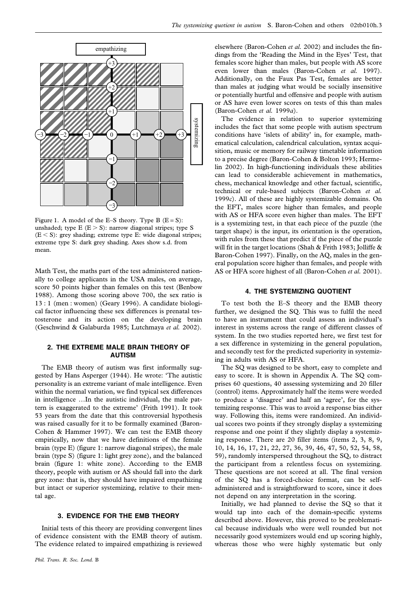

Figure 1. A model of the E–S theory. Type B  $(E = S)$ : unshaded; type  $E(E > S)$ : narrow diagonal stripes; type S  $(E < S)$ : grey shading; extreme type E: wide diagonal stripes; extreme type S: dark grey shading. Axes show s.d. from mean.

Math Test, the maths part of the test administered nationally to college applicants in the USA males, on average, score 50 points higher than females on this test (Benbow 1988). Among those scoring above 700, the sex ratio is 13 : 1 (men : women) (Geary 1996). A candidate biological factor influencing these sex differences is prenatal testosterone and its action on the developing brain (Geschwind & Galaburda 1985; Lutchmaya *et al.* 2002).

# **2. THE EXTREME MALE BRAIN THEORY OF AUTISM**

The EMB theory of autism was first informally suggested by Hans Asperger (1944). He wrote: 'The autistic personality is an extreme variant of male intelligence. Even within the normal variation, we find typical sex differences in intelligence …In the autistic individual, the male pattern is exaggerated to the extreme' (Frith 1991). It took 53 years from the date that this controversial hypothesis was raised casually for it to be formally examined (Baron-Cohen & Hammer 1997). We can test the EMB theory empirically, now that we have definitions of the female brain (type E) (figure 1: narrow diagonal stripes), the male brain (type S) (figure 1: light grey zone), and the balanced brain (figure 1: white zone). According to the EMB theory, people with autism or AS should fall into the dark grey zone: that is, they should have impaired empathizing but intact or superior systemizing, relative to their mental age.

#### **3. EVIDENCE FOR THE EMB THEORY**

Initial tests of this theory are providing convergent lines of evidence consistent with the EMB theory of autism. The evidence related to impaired empathizing is reviewed

elsewhere (Baron-Cohen *et al.* 2002) and includes the findings from the 'Reading the Mind in the Eyes' Test, that females score higher than males, but people with AS score even lower than males (Baron-Cohen *et al.* 1997). Additionally, on the Faux Pas Test, females are better than males at judging what would be socially insensitive or potentially hurtful and offensive and people with autism or AS have even lower scores on tests of this than males (Baron-Cohen *et al.* 1999*a*).

The evidence in relation to superior systemizing includes the fact that some people with autism spectrum conditions have 'islets of ability' in, for example, mathematical calculation, calendrical calculation, syntax acquisition, music or memory for railway timetable information to a precise degree (Baron-Cohen & Bolton 1993; Hermelin 2002). In high-functioning individuals these abilities can lead to considerable achievement in mathematics, chess, mechanical knowledge and other factual, scientific, technical or rule-based subjects (Baron-Cohen *et al.* 1999*c*). All of these are highly systemizable domains. On the EFT, males score higher than females, and people with AS or HFA score even higher than males. The EFT is a systemizing test, in that each piece of the puzzle (the target shape) is the input, its orientation is the operation, with rules from these that predict if the piece of the puzzle will fit in the target locations (Shah & Frith 1983; Jolliffe & Baron-Cohen 1997). Finally, on the AQ, males in the general population score higher than females, and people with AS or HFA score highest of all (Baron-Cohen *et al.* 2001).

#### **4. THE SYSTEMIZING QUOTIENT**

To test both the E–S theory and the EMB theory further, we designed the SQ. This was to fulfil the need to have an instrument that could assess an individual's interest in systems across the range of different classes of system. In the two studies reported here, we first test for a sex difference in systemizing in the general population, and secondly test for the predicted superiority in systemizing in adults with AS or HFA.

The SQ was designed to be short, easy to complete and easy to score. It is shown in Appendix A. The SQ comprises 60 questions, 40 assessing systemizing and 20 filler (control) items. Approximately half the items were worded to produce a 'disagree' and half an 'agree', for the systemizing response. This was to avoid a response bias either way. Following this, items were randomized. An individual scores two points if they strongly display a systemizing response and one point if they slightly display a systemizing response. There are 20 filler items (items 2, 3, 8, 9, 10, 14, 16, 17, 21, 22, 27, 36, 39, 46, 47, 50, 52, 54, 58, 59), randomly interspersed throughout the SQ, to distract the participant from a relentless focus on systemizing. These questions are not scored at all. The final version of the SQ has a forced-choice format, can be selfadministered and is straightforward to score, since it does not depend on any interpretation in the scoring.

Initially, we had planned to devise the SQ so that it would tap into each of the domain-specific systems described above. However, this proved to be problematical because individuals who were well rounded but not necessarily good systemizers would end up scoring highly, whereas those who were highly systematic but only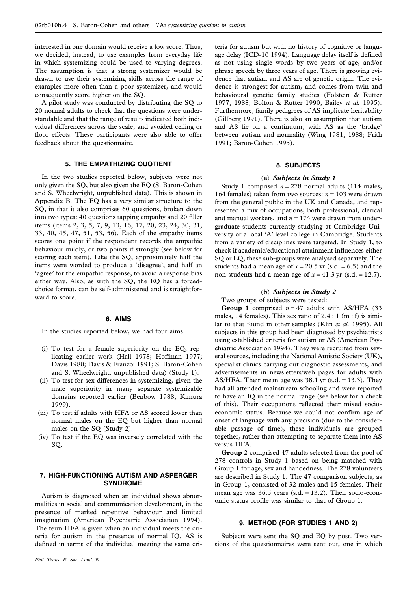interested in one domain would receive a low score. Thus, we decided, instead, to use examples from everyday life in which systemizing could be used to varying degrees. The assumption is that a strong systemizer would be drawn to use their systemizing skills across the range of examples more often than a poor systemizer, and would consequently score higher on the SQ.

A pilot study was conducted by distributing the SQ to 20 normal adults to check that the questions were understandable and that the range of results indicated both individual differences across the scale, and avoided ceiling or floor effects. These participants were also able to offer feedback about the questionnaire.

#### **5. THE EMPATHIZING QUOTIENT**

In the two studies reported below, subjects were not only given the SQ, but also given the EQ (S. Baron-Cohen and S. Wheelwright, unpublished data). This is shown in Appendix B. The EQ has a very similar structure to the SQ, in that it also comprises 60 questions, broken down into two types: 40 questions tapping empathy and 20 filler items (items 2, 3, 5, 7, 9, 13, 16, 17, 20, 23, 24, 30, 31, 33, 40, 45, 47, 51, 53, 56). Each of the empathy items scores one point if the respondent records the empathic behaviour mildly, or two points if strongly (see below for scoring each item). Like the SQ, approximately half the items were worded to produce a 'disagree', and half an 'agree' for the empathic response, to avoid a response bias either way. Also, as with the SQ, the EQ has a forcedchoice format, can be self-administered and is straightforward to score.

#### **6. AIMS**

In the studies reported below, we had four aims.

- (i) To test for a female superiority on the EQ, replicating earlier work (Hall 1978; Hoffman 1977; Davis 1980; Davis & Franzoi 1991; S. Baron-Cohen and S. Wheelwright, unpublished data) (Study 1).
- (ii) To test for sex differences in systemizing, given the male superiority in many separate systemizable domains reported earlier (Benbow 1988; Kimura 1999).
- (iii) To test if adults with HFA or AS scored lower than normal males on the EQ but higher than normal males on the SQ (Study 2).
- (iv) To test if the EQ was inversely correlated with the SQ.

# **7. HIGH-FUNCTIONING AUTISM AND ASPERGER SYNDROME**

Autism is diagnosed when an individual shows abnormalities in social and communication development, in the presence of marked repetitive behaviour and limited imagination (American Psychiatric Association 1994). The term HFA is given when an individual meets the criteria for autism in the presence of normal IQ. AS is defined in terms of the individual meeting the same criteria for autism but with no history of cognitive or language delay (ICD-10 1994). Language delay itself is defined as not using single words by two years of age, and/or phrase speech by three years of age. There is growing evidence that autism and AS are of genetic origin. The evidence is strongest for autism, and comes from twin and behavioural genetic family studies (Folstein & Rutter 1977, 1988; Bolton & Rutter 1990; Bailey *et al.* 1995). Furthermore, family pedigrees of AS implicate heritability (Gillberg 1991). There is also an assumption that autism and AS lie on a continuum, with AS as the 'bridge' between autism and normality (Wing 1981, 1988; Frith 1991; Baron-Cohen 1995).

#### **8. SUBJECTS**

#### (**a**) *Subjects in Study 1*

Study 1 comprised  $n = 278$  normal adults (114 males, 164 females) taken from two sources:  $n = 103$  were drawn from the general public in the UK and Canada, and represented a mix of occupations, both professional, clerical and manual workers, and  $n = 174$  were drawn from undergraduate students currently studying at Cambridge University or a local 'A' level college in Cambridge. Students from a variety of disciplines were targeted. In Study 1, to check if academic/educational attainment influences either SQ or EQ, these sub-groups were analysed separately. The students had a mean age of  $x = 20.5$  yr (s.d. = 6.5) and the non-students had a mean age of  $x = 41.3$  yr (s.d. = 12.7).

#### (**b**) *Subjects in Study 2*

Two groups of subjects were tested:

**Group 1** comprised  $n = 47$  adults with AS/HFA (33) males, 14 females). This sex ratio of  $2.4:1$  (m : f) is similar to that found in other samples (Klin *et al.* 1995). All subjects in this group had been diagnosed by psychiatrists using established criteria for autism or AS (American Psychiatric Association 1994). They were recruited from several sources, including the National Autistic Society (UK), specialist clinics carrying out diagnostic assessments, and advertisements in newsletters/web pages for adults with AS/HFA. Their mean age was  $38.1$  yr (s.d. = 13.3). They had all attended mainstream schooling and were reported to have an IQ in the normal range (see below for a check of this). Their occupations reflected their mixed socioeconomic status. Because we could not confirm age of onset of language with any precision (due to the considerable passage of time), these individuals are grouped together, rather than attempting to separate them into AS versus HFA.

**Group 2** comprised 47 adults selected from the pool of 278 controls in Study 1 based on being matched with Group 1 for age, sex and handedness. The 278 volunteers are described in Study 1. The 47 comparison subjects, as in Group 1, consisted of 32 males and 15 females. Their mean age was  $36.5$  years (s.d. = 13.2). Their socio-economic status profile was similar to that of Group 1.

#### **9. METHOD (FOR STUDIES 1 AND 2)**

Subjects were sent the SQ and EQ by post. Two versions of the questionnaires were sent out, one in which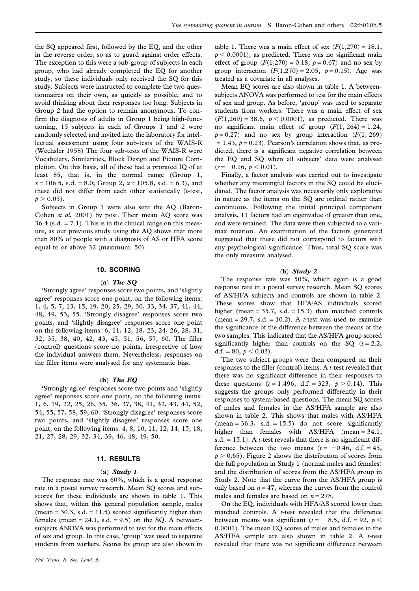the SQ appeared first, followed by the EQ, and the other in the reverse order, so as to guard against order effects. The exception to this were a sub-group of subjects in each group, who had already completed the EQ for another study, so these individuals only received the SQ for this study. Subjects were instructed to complete the two questionnaires on their own, as quickly as possible, and to avoid thinking about their responses too long. Subjects in Group 2 had the option to remain anonymous. To confirm the diagnosis of adults in Group 1 being high-functioning, 15 subjects in each of Groups 1 and 2 were randomly selected and invited into the laboratory for intellectual assessment using four sub-tests of the WAIS-R (Wechsler 1958) The four sub-tests of the WAIS-R were Vocabulary, Similarities, Block Design and Picture Completion. On this basis, all of these had a prorated IQ of at least 85, that is, in the normal range (Group 1,  $x = 106.5$ , s.d. = 8.0; Group 2,  $x = 105.8$ , s.d. = 6.3), and these did not differ from each other statistically (*t*-test,  $p > 0.05$ ).

Subjects in Group 1 were also sent the AQ (Baron-Cohen *et al.* 2001) by post. Their mean AQ score was 36.4 (s.d.  $= 7.1$ ). This is in the clinical range on this measure, as our previous study using the AQ shows that more than 80% of people with a diagnosis of AS or HFA score equal to or above 32 (maximum: 50).

#### **10. SCORING**

#### (**a**) *The SQ*

'Strongly agree' responses score two points, and 'slightly agree' responses score one point, on the following items: 1, 4, 5, 7, 13, 15, 19, 20, 25, 29, 30, 33, 34, 37, 41, 44, 48, 49, 53, 55. 'Strongly disagree' responses score two points, and 'slightly disagree' responses score one point on the following items: 6, 11, 12, 18, 23, 24, 26, 28, 31, 32, 35, 38, 40, 42, 43, 45, 51, 56, 57, 60. The filler (control) questions score no points, irrespective of how the individual answers them. Nevertheless, responses on the filler items were analysed for any systematic bias.

#### (**b**) *The EQ*

'Strongly agree' responses score two points and 'slightly agree' responses score one point, on the following items: 1, 6, 19, 22, 25, 26, 35, 36, 37, 38, 41, 42, 43, 44, 52, 54, 55, 57, 58, 59, 60. 'Strongly disagree' responses score two points, and 'slightly disagree' responses score one point, on the following items: 4, 8, 10, 11, 12, 14, 15, 18, 21, 27, 28, 29, 32, 34, 39, 46, 48, 49, 50.

#### **11. RESULTS**

#### (**a**) *Study 1*

The response rate was 60%, which is a good response rate in a postal survey research. Mean SQ scores and subscores for these individuals are shown in table 1. This shows that, within this general population sample, males  $(mean = 30.3, s.d. = 11.5)$  scored significantly higher than females (mean  $= 24.1$ , s.d.  $= 9.5$ ) on the SQ. A betweensubjects ANOVA was performed to test for the main effects of sex and group. In this case, 'group' was used to separate students from workers. Scores by group are also shown in table 1. There was a main effect of sex  $(F(1,270) = 18.1,$  $p < 0.0001$ ), as predicted. There was no significant main effect of group  $(F(1,270) = 0.18, p = 0.67)$  and no sex by group interaction  $(F(1,270) = 2.05, p = 0.15)$ . Age was treated as a covariate in all analyses.

Mean EQ scores are also shown in table 1. A betweensubjects ANOVA was performed to test for the main effects of sex and group. As before, 'group' was used to separate students from workers. There was a main effect of sex  $(F(1,269) = 38.6, p < 0.0001)$ , as predicted. There was no significant main effect of group  $(F(1, 264) = 1.24$ ,  $p = 0.27$ ) and no sex by group interaction ( $F(1, 269)$ )  $= 1.43$ ,  $p = 0.23$ ). Pearson's correlation shows that, as predicted, there is a significant negative correlation between the EQ and SQ when all subjects' data were analysed  $(r = -0.16, p < 0.01).$ 

Finally, a factor analysis was carried out to investigate whether any meaningful factors in the SO could be elucidated. The factor analysis was necessarily only explorative in nature as the items on the SQ are ordinal rather than continuous. Following the initial principal component analysis, 11 factors had an eigenvalue of greater than one, and were retained. The data were then subjected to a varimax rotation. An examination of the factors generated suggested that these did not correspond to factors with any psychological significance. Thus, total SQ score was the only measure analysed.

#### (**b**) *Study 2*

The response rate was 50%, which again is a good response rate in a postal survey research. Mean SQ scores of AS/HFA subjects and controls are shown in table 2. These scores show that HFA/AS individuals scored higher (mean =  $35.7$ , s.d. =  $15.3$ ) than matched controls (mean = 29.7, s.d. = 10.2). A *t*-test was used to examine the significance of the difference between the means of the two samples. This indicated that the AS/HFA group scored significantly higher than controls on the SQ  $(t = 2.2,$ d.f. = 80,  $p < 0.03$ ).

The two subject groups were then compared on their responses to the filler (control) items. A *t*-test revealed that there was no significant difference in their responses to these questions  $(t = 1.496, d.f. = 323, p > 0.14)$ . This suggests the groups only performed differently in their responses to system-based questions. The mean SQ scores of males and females in the AS/HFA sample are also shown in table 2. This shows that males with AS/HFA  $(mean = 36.3, s.d. = 15.5)$  do not score significantly higher than females with AS/HFA (mean = 34.1, s.d.  $= 15.1$ ). A *t*-test reveals that there is no significant difference between the two means  $(t = -0.46, d.f. = 45,$  $p > 0.65$ ). Figure 2 shows the distribution of scores from the full population in Study 1 (normal males and females) and the distribution of scores from the AS/HFA group in Study 2. Note that the curve from the AS/HFA group is only based on  $n = 47$ , whereas the curves from the control males and females are based on  $n = 278$ .

On the EQ, individuals with HFA/AS scored lower than matched controls. A *t*-test revealed that the difference between means was significant ( $t = -8.5$ , d.f. = 92,  $p <$ 0.0001). The mean EQ scores of males and females in the AS/HFA sample are also shown in table 2. A *t*-test revealed that there was no significant difference between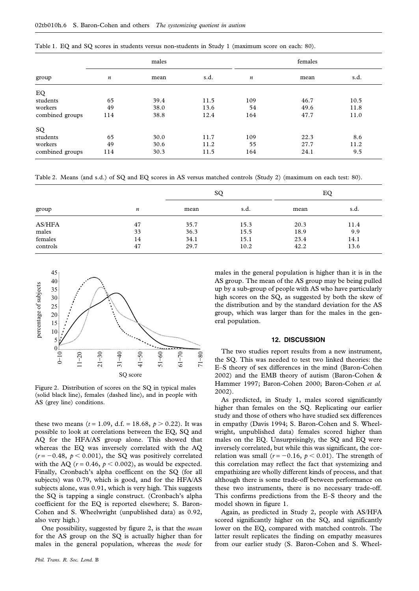|                 | males            |      |      | females          |      |      |
|-----------------|------------------|------|------|------------------|------|------|
| group           | $\boldsymbol{n}$ | mean | s.d. | $\boldsymbol{n}$ | mean | s.d. |
| EQ              |                  |      |      |                  |      |      |
| students        | 65               | 39.4 | 11.5 | 109              | 46.7 | 10.5 |
| workers         | 49               | 38.0 | 13.6 | 54               | 49.6 | 11.8 |
| combined groups | 114              | 38.8 | 12.4 | 164              | 47.7 | 11.0 |
| SQ              |                  |      |      |                  |      |      |
| students        | 65               | 30.0 | 11.7 | 109              | 22.3 | 8.6  |
| workers         | 49               | 30.6 | 11.2 | 55               | 27.7 | 11.2 |
| combined groups | 114              | 30.3 | 11.5 | 164              | 24.1 | 9.5  |

Table 1. EQ and SQ scores in students versus non-students in Study 1 (maximum score on each: 80).

Table 2. Means (and s.d.) of SQ and EQ scores in AS versus matched controls (Study 2) (maximum on each test: 80).

|          |    | SQ   |      | EQ   |      |
|----------|----|------|------|------|------|
| group    | n  | mean | s.d. | mean | s.d. |
| AS/HFA   | 47 | 35.7 | 15.3 | 20.3 | 11.4 |
| males    | 33 | 36.3 | 15.5 | 18.9 | 9.9  |
| females  | 14 | 34.1 | 15.1 | 23.4 | 14.1 |
| controls | 47 | 29.7 | 10.2 | 42.2 | 13.6 |



Figure 2. Distribution of scores on the SQ in typical males (solid black line), females (dashed line), and in people with AS (grey line) conditions.

these two means ( $t = 1.09$ , d.f. = 18.68,  $p > 0.22$ ). It was possible to look at correlations between the EQ, SQ and AQ for the HFA/AS group alone. This showed that whereas the EQ was inversely correlated with the AQ  $(r = -0.48, p < 0.001)$ , the SQ was positively correlated with the AQ  $(r = 0.46, p < 0.002)$ , as would be expected. Finally, Cronbach's alpha coefficent on the SQ (for all subjects) was 0.79, which is good, and for the HFA/AS subjects alone, was 0.91, which is very high. This suggests the SQ is tapping a single construct. (Cronbach's alpha coefficient for the EQ is reported elsewhere; S. Baron-Cohen and S. Wheelwright (unpublished data) as 0.92, also very high.)

One possibility, suggested by figure 2, is that the *mean* for the AS group on the SQ is actually higher than for males in the general population, whereas the *mode* for

males in the general population is higher than it is in the AS group. The mean of the AS group may be being pulled up by a sub-group of people with AS who have particularly high scores on the SQ, as suggested by both the skew of the distribution and by the standard deviation for the AS group, which was larger than for the males in the general population.

#### **12. DISCUSSION**

The two studies report results from a new instrument, the SQ. This was needed to test two linked theories: the E–S theory of sex differences in the mind (Baron-Cohen 2002) and the EMB theory of autism (Baron-Cohen & Hammer 1997; Baron-Cohen 2000; Baron-Cohen *et al.* 2002).

As predicted, in Study 1, males scored significantly higher than females on the SQ. Replicating our earlier study and those of others who have studied sex differences in empathy (Davis 1994; S. Baron-Cohen and S. Wheelwright, unpublished data) females scored higher than males on the EQ. Unsurprisingly, the SQ and EQ were inversely correlated, but while this was significant, the correlation was small  $(r = -0.16, p < 0.01)$ . The strength of this correlation may reflect the fact that systemizing and empathizing are wholly different kinds of process, and that although there is some trade-off between performance on these two instruments, there is no necessary trade-off. This confirms predictions from the E–S theory and the model shown in figure 1.

Again, as predicted in Study 2, people with AS/HFA scored significantly higher on the SQ, and significantly lower on the EQ, compared with matched controls. The latter result replicates the finding on empathy measures from our earlier study (S. Baron-Cohen and S. Wheel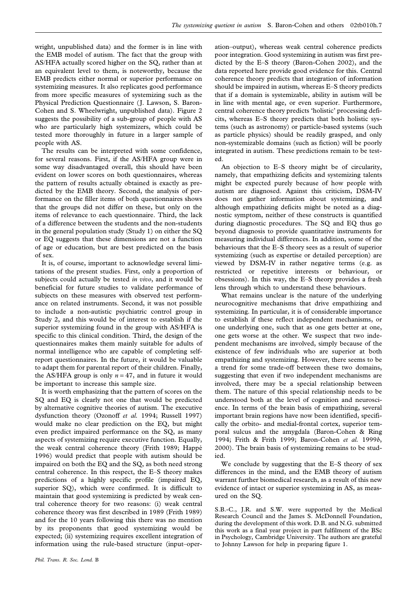wright, unpublished data) and the former is in line with the EMB model of autism. The fact that the group with AS/HFA actually scored higher on the SQ, rather than at an equivalent level to them, is noteworthy, because the EMB predicts either normal or superior performance on systemizing measures. It also replicates good performance from more specific measures of systemizing such as the Physical Prediction Questionnaire (J. Lawson, S. Baron-Cohen and S. Wheelwright, unpublished data). Figure 2 suggests the possibility of a sub-group of people with AS who are particularly high systemizers, which could be tested more thoroughly in future in a larger sample of people with AS.

The results can be interpreted with some confidence, for several reasons. First, if the AS/HFA group were in some way disadvantaged overall, this should have been evident on lower scores on both questionnaires, whereas the pattern of results actually obtained is exactly as predicted by the EMB theory. Second, the analysis of performance on the filler items of both questionnaires shows that the groups did not differ on these, but only on the items of relevance to each questionnaire. Third, the lack of a difference between the students and the non-students in the general population study (Study 1) on either the SQ or EQ suggests that these dimensions are not a function of age or education, but are best predicted on the basis of sex.

It is, of course, important to acknowledge several limitations of the present studies. First, only a proportion of subjects could actually be tested *in vivo*, and it would be beneficial for future studies to validate performance of subjects on these measures with observed test performance on related instruments. Second, it was not possible to include a non-autistic psychiatric control group in Study 2, and this would be of interest to establish if the superior systemizing found in the group with AS/HFA is specific to this clinical condition. Third, the design of the questionnaires makes them mainly suitable for adults of normal intelligence who are capable of completing selfreport questionnaires. In the future, it would be valuable to adapt them for parental report of their children. Finally, the AS/HFA group is only  $n = 47$ , and in future it would be important to increase this sample size.

It is worth emphasizing that the pattern of scores on the SQ and EQ is clearly not one that would be predicted by alternative cognitive theories of autism. The executive dysfunction theory (Ozonoff *et al.* 1994; Russell 1997) would make no clear prediction on the EQ, but might even predict impaired performance on the SQ, as many aspects of systemizing require executive function. Equally, the weak central coherence theory (Frith 1989; Happé 1996) would predict that people with autism should be impaired on both the EQ and the SQ, as both need strong central coherence. In this respect, the E–S theory makes predictions of a highly specific profile (impaired EQ, superior SQ), which were confirmed. It is difficult to maintain that good systemizing is predicted by weak central coherence theory for two reasons: (i) weak central coherence theory was first described in 1989 (Frith 1989) and for the 10 years following this there was no mention by its proponents that good systemizing would be expected; (ii) systemizing requires excellent integration of information using the rule-based structure (input–operation–output), whereas weak central coherence predicts poor integration. Good systemizing in autism was first predicted by the E–S theory (Baron-Cohen 2002), and the data reported here provide good evidence for this. Central coherence theory predicts that integration of information should be impaired in autism, whereas E–S theory predicts that if a domain is systemizable, ability in autism will be in line with mental age, or even superior. Furthermore, central coherence theory predicts 'holistic' processing deficits, whereas E–S theory predicts that both holistic systems (such as astronomy) or particle-based systems (such as particle physics) should be readily grasped, and only non-systemizable domains (such as fiction) will be poorly integrated in autism. These predictions remain to be tested.

An objection to E–S theory might be of circularity, namely, that empathizing deficits and systemizing talents might be expected purely because of how people with autism are diagnosed. Against this criticism, DSM-IV does not gather information about systemizing, and although empathizing deficits might be noted as a diagnostic symptom, neither of these constructs is quantified during diagnostic procedures. The SQ and EQ thus go beyond diagnosis to provide quantitative instruments for measuring individual differences. In addition, some of the behaviours that the E–S theory sees as a result of superior systemizing (such as expertise or detailed perception) are viewed by DSM-IV in rather negative terms (e.g. as restricted or repetitive interests or behaviour, or obsessions). In this way, the E–S theory provides a fresh lens through which to understand these behaviours.

What remains unclear is the nature of the underlying neurocognitive mechanisms that drive empathizing and systemizing. In particular, it is of considerable importance to establish if these reflect independent mechanisms, or one underlying one, such that as one gets better at one, one gets worse at the other. We suspect that two independent mechanisms are involved, simply because of the existence of few individuals who are superior at both empathizing and systemizing. However, there seems to be a trend for some trade-off between these two domains, suggesting that even if two independent mechanisms are involved, there may be a special relationship between them. The nature of this special relationship needs to be understood both at the level of cognition and neuroscience. In terms of the brain basis of empathizing, several important brain regions have now been identified, specifically the orbito- and medial-frontal cortex, superior temporal sulcus and the amygdala (Baron-Cohen & Ring 1994; Frith & Frith 1999; Baron-Cohen *et al.* 1999*b*, 2000). The brain basis of systemizing remains to be studied.

We conclude by suggesting that the E–S theory of sex differences in the mind, and the EMB theory of autism warrant further biomedical research, as a result of this new evidence of intact or superior systemizing in AS, as measured on the SQ.

S.B.-C., J.R. and S.W. were supported by the Medical Research Council and the James S. McDonnell Foundation, during the development of this work. D.B. and N.G. submitted this work as a final year project in part fulfilment of the BSc in Psychology, Cambridge University. The authors are grateful to Johnny Lawson for help in preparing figure 1.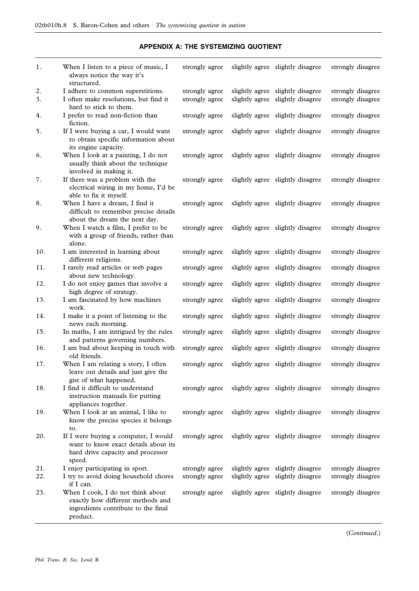# **APPENDIX A: THE SYSTEMIZING QUOTIENT**

| 1.  | When I listen to a piece of music, I<br>always notice the way it's<br>structured.                                           | strongly agree | slightly agree slightly disagree | strongly disagree |
|-----|-----------------------------------------------------------------------------------------------------------------------------|----------------|----------------------------------|-------------------|
| 2.  | I adhere to common superstitions.                                                                                           | strongly agree | slightly agree slightly disagree | strongly disagree |
| 3.  | I often make resolutions, but find it<br>hard to stick to them.                                                             | strongly agree | slightly agree slightly disagree | strongly disagree |
| 4.  | I prefer to read non-fiction than<br>fiction.                                                                               | strongly agree | slightly agree slightly disagree | strongly disagree |
| 5.  | If I were buying a car, I would want<br>to obtain specific information about<br>its engine capacity.                        | strongly agree | slightly agree slightly disagree | strongly disagree |
| 6.  | When I look at a painting, I do not<br>usually think about the technique<br>involved in making it.                          | strongly agree | slightly agree slightly disagree | strongly disagree |
| 7.  | If there was a problem with the<br>electrical wiring in my home, I'd be<br>able to fix it myself.                           | strongly agree | slightly agree slightly disagree | strongly disagree |
| 8.  | When I have a dream, I find it<br>difficult to remember precise details<br>about the dream the next day.                    | strongly agree | slightly agree slightly disagree | strongly disagree |
| 9.  | When I watch a film, I prefer to be<br>with a group of friends, rather than<br>alone.                                       | strongly agree | slightly agree slightly disagree | strongly disagree |
| 10. | I am interested in learning about<br>different religions.                                                                   | strongly agree | slightly agree slightly disagree | strongly disagree |
| 11. | I rarely read articles or web pages<br>about new technology.                                                                | strongly agree | slightly agree slightly disagree | strongly disagree |
| 12. | I do not enjoy games that involve a<br>high degree of strategy.                                                             | strongly agree | slightly agree slightly disagree | strongly disagree |
| 13. | I am fascinated by how machines<br>work.                                                                                    | strongly agree | slightly agree slightly disagree | strongly disagree |
| 14. | I make it a point of listening to the<br>news each morning.                                                                 | strongly agree | slightly agree slightly disagree | strongly disagree |
| 15. | In maths, I am intrigued by the rules<br>and patterns governing numbers.                                                    | strongly agree | slightly agree slightly disagree | strongly disagree |
| 16. | I am bad about keeping in touch with<br>old friends.                                                                        | strongly agree | slightly agree slightly disagree | strongly disagree |
| 17. | When I am relating a story, I often<br>leave out details and just give the<br>gist of what happened.                        | strongly agree | slightly agree slightly disagree | strongly disagree |
| 18. | I find it difficult to understand<br>instruction manuals for putting<br>appliances together.                                | strongly agree | slightly agree slightly disagree | strongly disagree |
| 19. | When I look at an animal, I like to<br>know the precise species it belongs<br>to.                                           | strongly agree | slightly agree slightly disagree | strongly disagree |
| 20. | If I were buying a computer, I would<br>want to know exact details about its<br>hard drive capacity and processor<br>speed. | strongly agree | slightly agree slightly disagree | strongly disagree |
| 21. | I enjoy participating in sport.                                                                                             | strongly agree | slightly agree slightly disagree | strongly disagree |
| 22. | I try to avoid doing household chores<br>if I can.                                                                          | strongly agree | slightly agree slightly disagree | strongly disagree |
| 23. | When I cook, I do not think about<br>exactly how different methods and<br>ingredients contribute to the final<br>product.   | strongly agree | slightly agree slightly disagree | strongly disagree |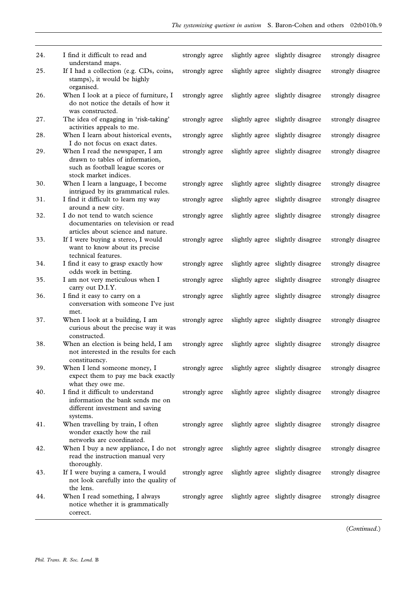| 24. | I find it difficult to read and<br>understand maps.                                                                              | strongly agree | slightly agree slightly disagree | strongly disagree |
|-----|----------------------------------------------------------------------------------------------------------------------------------|----------------|----------------------------------|-------------------|
| 25. | If I had a collection (e.g. CDs, coins,<br>stamps), it would be highly<br>organised.                                             | strongly agree | slightly agree slightly disagree | strongly disagree |
| 26. | When I look at a piece of furniture, I<br>do not notice the details of how it<br>was constructed.                                | strongly agree | slightly agree slightly disagree | strongly disagree |
| 27. | The idea of engaging in 'risk-taking'<br>activities appeals to me.                                                               | strongly agree | slightly agree slightly disagree | strongly disagree |
| 28. | When I learn about historical events,<br>I do not focus on exact dates.                                                          | strongly agree | slightly agree slightly disagree | strongly disagree |
| 29. | When I read the newspaper, I am<br>drawn to tables of information,<br>such as football league scores or<br>stock market indices. | strongly agree | slightly agree slightly disagree | strongly disagree |
| 30. | When I learn a language, I become<br>intrigued by its grammatical rules.                                                         | strongly agree | slightly agree slightly disagree | strongly disagree |
| 31. | I find it difficult to learn my way<br>around a new city.                                                                        | strongly agree | slightly agree slightly disagree | strongly disagree |
| 32. | I do not tend to watch science<br>documentaries on television or read<br>articles about science and nature.                      | strongly agree | slightly agree slightly disagree | strongly disagree |
| 33. | If I were buying a stereo, I would<br>want to know about its precise<br>technical features.                                      | strongly agree | slightly agree slightly disagree | strongly disagree |
| 34. | I find it easy to grasp exactly how                                                                                              | strongly agree | slightly agree slightly disagree | strongly disagree |
| 35. | odds work in betting.<br>I am not very meticulous when I<br>carry out D.I.Y.                                                     | strongly agree | slightly agree slightly disagree | strongly disagree |
| 36. | I find it easy to carry on a<br>conversation with someone I've just<br>met.                                                      | strongly agree | slightly agree slightly disagree | strongly disagree |
| 37. | When I look at a building, I am<br>curious about the precise way it was<br>constructed.                                          | strongly agree | slightly agree slightly disagree | strongly disagree |
| 38. | When an election is being held, I am<br>not interested in the results for each<br>constituency.                                  | strongly agree | slightly agree slightly disagree | strongly disagree |
| 39. | When I lend someone money, I<br>expect them to pay me back exactly<br>what they owe me.                                          | strongly agree | slightly agree slightly disagree | strongly disagree |
| 40. | I find it difficult to understand<br>information the bank sends me on<br>different investment and saving<br>systems.             | strongly agree | slightly agree slightly disagree | strongly disagree |
| 41. | When travelling by train, I often<br>wonder exactly how the rail<br>networks are coordinated.                                    | strongly agree | slightly agree slightly disagree | strongly disagree |
| 42. | When I buy a new appliance, I do not strongly agree<br>read the instruction manual very<br>thoroughly.                           |                | slightly agree slightly disagree | strongly disagree |
| 43. | If I were buying a camera, I would<br>not look carefully into the quality of<br>the lens.                                        | strongly agree | slightly agree slightly disagree | strongly disagree |
| 44. | When I read something, I always<br>notice whether it is grammatically<br>correct.                                                | strongly agree | slightly agree slightly disagree | strongly disagree |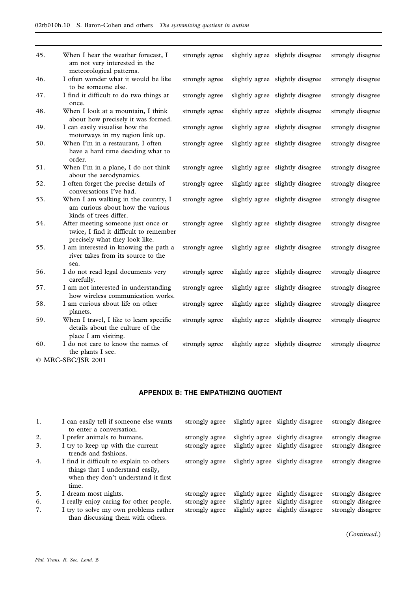| 45. | When I hear the weather forecast, I<br>am not very interested in the<br>meteorological patterns.               | strongly agree | slightly agree slightly disagree | strongly disagree |
|-----|----------------------------------------------------------------------------------------------------------------|----------------|----------------------------------|-------------------|
| 46. | I often wonder what it would be like<br>to be someone else.                                                    | strongly agree | slightly agree slightly disagree | strongly disagree |
| 47. | I find it difficult to do two things at<br>once.                                                               | strongly agree | slightly agree slightly disagree | strongly disagree |
| 48. | When I look at a mountain, I think<br>about how precisely it was formed.                                       | strongly agree | slightly agree slightly disagree | strongly disagree |
| 49. | I can easily visualise how the<br>motorways in my region link up.                                              | strongly agree | slightly agree slightly disagree | strongly disagree |
| 50. | When I'm in a restaurant, I often<br>have a hard time deciding what to<br>order.                               | strongly agree | slightly agree slightly disagree | strongly disagree |
| 51. | When I'm in a plane, I do not think<br>about the aerodynamics.                                                 | strongly agree | slightly agree slightly disagree | strongly disagree |
| 52. | I often forget the precise details of<br>conversations I've had.                                               | strongly agree | slightly agree slightly disagree | strongly disagree |
| 53. | When I am walking in the country, I<br>am curious about how the various<br>kinds of trees differ.              | strongly agree | slightly agree slightly disagree | strongly disagree |
| 54. | After meeting someone just once or<br>twice, I find it difficult to remember<br>precisely what they look like. | strongly agree | slightly agree slightly disagree | strongly disagree |
| 55. | I am interested in knowing the path a<br>river takes from its source to the<br>sea.                            | strongly agree | slightly agree slightly disagree | strongly disagree |
| 56. | I do not read legal documents very<br>carefully.                                                               | strongly agree | slightly agree slightly disagree | strongly disagree |
| 57. | I am not interested in understanding<br>how wireless communication works.                                      | strongly agree | slightly agree slightly disagree | strongly disagree |
| 58. | I am curious about life on other<br>planets.                                                                   | strongly agree | slightly agree slightly disagree | strongly disagree |
| 59. | When I travel, I like to learn specific<br>details about the culture of the<br>place I am visiting.            | strongly agree | slightly agree slightly disagree | strongly disagree |
| 60. | I do not care to know the names of<br>the plants I see.                                                        | strongly agree | slightly agree slightly disagree | strongly disagree |
|     | © MRC-SBC/JSR 2001                                                                                             |                |                                  |                   |

# **APPENDIX B: THE EMPATHIZING QUOTIENT**

| 1. | I can easily tell if someone else wants<br>to enter a conversation.                                                          | strongly agree | slightly agree slightly disagree | strongly disagree |
|----|------------------------------------------------------------------------------------------------------------------------------|----------------|----------------------------------|-------------------|
| 2. | I prefer animals to humans.                                                                                                  | strongly agree | slightly agree slightly disagree | strongly disagree |
| 3. | I try to keep up with the current<br>trends and fashions.                                                                    | strongly agree | slightly agree slightly disagree | strongly disagree |
| 4. | I find it difficult to explain to others<br>things that I understand easily,<br>when they don't understand it first<br>time. | strongly agree | slightly agree slightly disagree | strongly disagree |
| 5. | I dream most nights.                                                                                                         | strongly agree | slightly agree slightly disagree | strongly disagree |
| 6. | I really enjoy caring for other people.                                                                                      | strongly agree | slightly agree slightly disagree | strongly disagree |
| 7. | I try to solve my own problems rather<br>than discussing them with others.                                                   | strongly agree | slightly agree slightly disagree | strongly disagree |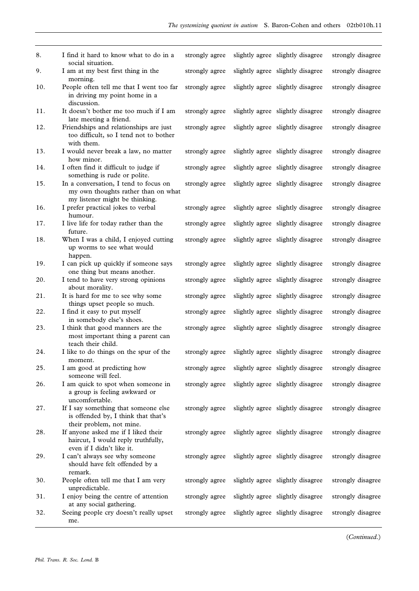| 8.  | I find it hard to know what to do in a<br>social situation.                                                    | strongly agree | slightly agree slightly disagree | strongly disagree |
|-----|----------------------------------------------------------------------------------------------------------------|----------------|----------------------------------|-------------------|
| 9.  | I am at my best first thing in the<br>morning.                                                                 | strongly agree | slightly agree slightly disagree | strongly disagree |
| 10. | People often tell me that I went too far<br>in driving my point home in a<br>discussion.                       | strongly agree | slightly agree slightly disagree | strongly disagree |
| 11. | It doesn't bother me too much if I am<br>late meeting a friend.                                                | strongly agree | slightly agree slightly disagree | strongly disagree |
| 12. | Friendships and relationships are just<br>too difficult, so I tend not to bother<br>with them.                 | strongly agree | slightly agree slightly disagree | strongly disagree |
| 13. | I would never break a law, no matter<br>how minor.                                                             | strongly agree | slightly agree slightly disagree | strongly disagree |
| 14. | I often find it difficult to judge if<br>something is rude or polite.                                          | strongly agree | slightly agree slightly disagree | strongly disagree |
| 15. | In a conversation, I tend to focus on<br>my own thoughts rather than on what<br>my listener might be thinking. | strongly agree | slightly agree slightly disagree | strongly disagree |
| 16. | I prefer practical jokes to verbal<br>humour.                                                                  | strongly agree | slightly agree slightly disagree | strongly disagree |
| 17. | I live life for today rather than the<br>future.                                                               | strongly agree | slightly agree slightly disagree | strongly disagree |
| 18. | When I was a child, I enjoyed cutting<br>up worms to see what would<br>happen.                                 | strongly agree | slightly agree slightly disagree | strongly disagree |
| 19. | I can pick up quickly if someone says<br>one thing but means another.                                          | strongly agree | slightly agree slightly disagree | strongly disagree |
| 20. | I tend to have very strong opinions<br>about morality.                                                         | strongly agree | slightly agree slightly disagree | strongly disagree |
| 21. | It is hard for me to see why some<br>things upset people so much.                                              | strongly agree | slightly agree slightly disagree | strongly disagree |
| 22. | I find it easy to put myself<br>in somebody else's shoes.                                                      | strongly agree | slightly agree slightly disagree | strongly disagree |
| 23. | I think that good manners are the<br>most important thing a parent can<br>teach their child.                   | strongly agree | slightly agree slightly disagree | strongly disagree |
| 24. | I like to do things on the spur of the<br>moment.                                                              | strongly agree | slightly agree slightly disagree | strongly disagree |
| 25. | I am good at predicting how<br>someone will feel.                                                              | strongly agree | slightly agree slightly disagree | strongly disagree |
| 26. | I am quick to spot when someone in<br>a group is feeling awkward or<br>uncomfortable.                          | strongly agree | slightly agree slightly disagree | strongly disagree |
| 27. | If I say something that someone else<br>is offended by, I think that that's<br>their problem, not mine.        | strongly agree | slightly agree slightly disagree | strongly disagree |
| 28. | If anyone asked me if I liked their<br>haircut, I would reply truthfully,<br>even if I didn't like it.         | strongly agree | slightly agree slightly disagree | strongly disagree |
| 29. | I can't always see why someone<br>should have felt offended by a<br>remark.                                    | strongly agree | slightly agree slightly disagree | strongly disagree |
| 30. | People often tell me that I am very<br>unpredictable.                                                          | strongly agree | slightly agree slightly disagree | strongly disagree |
| 31. | I enjoy being the centre of attention<br>at any social gathering.                                              | strongly agree | slightly agree slightly disagree | strongly disagree |
| 32. | Seeing people cry doesn't really upset<br>me.                                                                  | strongly agree | slightly agree slightly disagree | strongly disagree |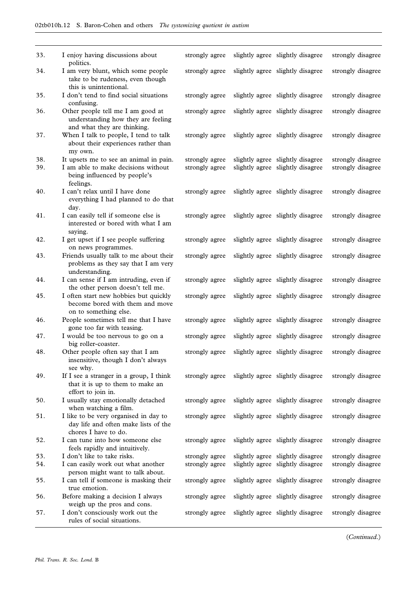| 33. | I enjoy having discussions about<br>politics.                                                          | strongly agree | slightly agree slightly disagree | strongly disagree |
|-----|--------------------------------------------------------------------------------------------------------|----------------|----------------------------------|-------------------|
| 34. | I am very blunt, which some people<br>take to be rudeness, even though<br>this is unintentional.       | strongly agree | slightly agree slightly disagree | strongly disagree |
| 35. | I don't tend to find social situations<br>confusing.                                                   | strongly agree | slightly agree slightly disagree | strongly disagree |
| 36. | Other people tell me I am good at<br>understanding how they are feeling<br>and what they are thinking. | strongly agree | slightly agree slightly disagree | strongly disagree |
| 37. | When I talk to people, I tend to talk<br>about their experiences rather than<br>my own.                | strongly agree | slightly agree slightly disagree | strongly disagree |
| 38. | It upsets me to see an animal in pain.                                                                 | strongly agree | slightly agree slightly disagree | strongly disagree |
| 39. | I am able to make decisions without<br>being influenced by people's<br>feelings.                       | strongly agree | slightly agree slightly disagree | strongly disagree |
| 40. | I can't relax until I have done<br>everything I had planned to do that<br>day.                         | strongly agree | slightly agree slightly disagree | strongly disagree |
| 41. | I can easily tell if someone else is<br>interested or bored with what I am<br>saying.                  | strongly agree | slightly agree slightly disagree | strongly disagree |
| 42. | I get upset if I see people suffering<br>on news programmes.                                           | strongly agree | slightly agree slightly disagree | strongly disagree |
| 43. | Friends usually talk to me about their<br>problems as they say that I am very<br>understanding.        | strongly agree | slightly agree slightly disagree | strongly disagree |
| 44. | I can sense if I am intruding, even if<br>the other person doesn't tell me.                            | strongly agree | slightly agree slightly disagree | strongly disagree |
| 45. | I often start new hobbies but quickly<br>become bored with them and move<br>on to something else.      | strongly agree | slightly agree slightly disagree | strongly disagree |
| 46. | People sometimes tell me that I have<br>gone too far with teasing.                                     | strongly agree | slightly agree slightly disagree | strongly disagree |
| 47. | I would be too nervous to go on a<br>big roller-coaster.                                               | strongly agree | slightly agree slightly disagree | strongly disagree |
| 48. | Other people often say that I am<br>insensitive, though I don't always<br>see why.                     | strongly agree | slightly agree slightly disagree | strongly disagree |
| 49. | If I see a stranger in a group, I think<br>that it is up to them to make an<br>effort to join in.      | strongly agree | slightly agree slightly disagree | strongly disagree |
| 50. | I usually stay emotionally detached<br>when watching a film.                                           | strongly agree | slightly agree slightly disagree | strongly disagree |
| 51. | I like to be very organised in day to<br>day life and often make lists of the<br>chores I have to do.  | strongly agree | slightly agree slightly disagree | strongly disagree |
| 52. | I can tune into how someone else<br>feels rapidly and intuitively.                                     | strongly agree | slightly agree slightly disagree | strongly disagree |
| 53. | I don't like to take risks.                                                                            | strongly agree | slightly agree slightly disagree | strongly disagree |
| 54. | I can easily work out what another<br>person might want to talk about.                                 | strongly agree | slightly agree slightly disagree | strongly disagree |
| 55. | I can tell if someone is masking their<br>true emotion.                                                | strongly agree | slightly agree slightly disagree | strongly disagree |
| 56. | Before making a decision I always<br>weigh up the pros and cons.                                       | strongly agree | slightly agree slightly disagree | strongly disagree |
| 57. | I don't consciously work out the<br>rules of social situations.                                        | strongly agree | slightly agree slightly disagree | strongly disagree |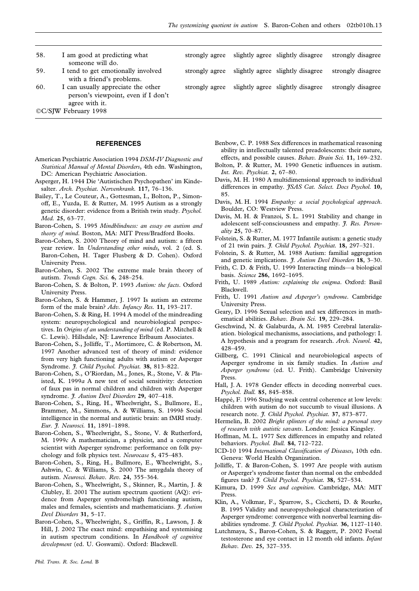| 58. | I am good at predicting what<br>someone will do.                                                                    | strongly agree | slightly agree slightly disagree | strongly disagree |
|-----|---------------------------------------------------------------------------------------------------------------------|----------------|----------------------------------|-------------------|
| 59. | I tend to get emotionally involved<br>with a friend's problems.                                                     | strongly agree | slightly agree slightly disagree | strongly disagree |
| 60. | I can usually appreciate the other<br>person's viewpoint, even if I don't<br>agree with it.<br>©C/SJW February 1998 | strongly agree | slightly agree slightly disagree | strongly disagree |

#### **REFERENCES**

- American Psychiatric Association 1994 *DSM-IV Diagnostic and Statistical Manual of Mental Disorders*, 4th edn. Washington, DC: American Psychiatric Association.
- Asperger, H. 1944 Die 'Autistischen Psychopathen' im Kindesalter. *Arch. Psychiat. Nervenkrank.* **117**, 76–136.
- Bailey, T., Le Couteur, A., Gottesman, I., Bolton, P., Simonoff, E., Yuzda, E. & Rutter, M. 1995 Autism as a strongly genetic disorder: evidence from a British twin study. *Psychol. Med.* **25**, 63–77.
- Baron-Cohen, S. 1995 *Mindblindness: an essay on autism and theory of mind*. Boston, MA: MIT Press/Bradford Books.
- Baron-Cohen, S. 2000 Theory of mind and autism: a fifteen year review. In *Understanding other minds*, vol. 2 (ed. S. Baron-Cohen, H. Tager Flusberg & D. Cohen). Oxford University Press.
- Baron-Cohen, S. 2002 The extreme male brain theory of autism. *Trends Cogn. Sci.* **6**, 248–254.
- Baron-Cohen, S. & Bolton, P. 1993 *Autism: the facts*. Oxford University Press.
- Baron-Cohen, S. & Hammer, J. 1997 Is autism an extreme form of the male brain? *Adv. Infancy Res.* **11**, 193–217.
- Baron-Cohen, S. & Ring, H. 1994 A model of the mindreading system: neuropsychological and neurobiological perspectives. In *Origins of an understanding of mind* (ed. P. Mitchell & C. Lewis). Hillsdale, NJ: Lawrence Erlbaum Associates.
- Baron-Cohen, S., Jolliffe, T., Mortimore, C. & Robertson, M. 1997 Another advanced test of theory of mind: evidence from very high functioning adults with autism or Asperger Syndrome. *J. Child Psychol. Psychiat.* **38**, 813–822.
- Baron-Cohen, S., O'Riordan, M., Jones, R., Stone, V. & Plaisted, K. 1999*a* A new test of social sensitivity: detection of faux pas in normal children and children with Asperger syndrome. *J. Autism Devl Disorders* **29**, 407–418.
- Baron-Cohen, S., Ring, H., Wheelwright, S., Bullmore, E., Brammer, M., Simmons, A. & Williams, S. 1999*b* Social intelligence in the normal and autistic brain: an fMRI study. *Eur. J. Neurosci.* **11**, 1891–1898.
- Baron-Cohen, S., Wheelwright, S., Stone, V. & Rutherford, M. 1999*c* A mathematician, a physicist, and a computer scientist with Asperger syndrome: performance on folk psychology and folk physics test. *Neurocase* **5**, 475–483.
- Baron-Cohen, S., Ring, H., Bullmore, E., Wheelwright, S., Ashwin, C. & Williams, S. 2000 The amygdala theory of autism. *Neurosci. Behav. Rev.* **24**, 355–364.
- Baron-Cohen, S., Wheelwright, S., Skinner, R., Martin, J. & Clubley, E. 2001 The autism spectrum quotient (AQ): evidence from Asperger syndrome/high functioning autism, males and females, scientists and mathematicians. *J. Autism Devl Disorders* **31**, 5–17.
- Baron-Cohen, S., Wheelwright, S., Griffin, R., Lawson, J. & Hill, J. 2002 The exact mind: empathising and systemising in autism spectrum conditions. In *Handbook of cognitive development* (ed. U. Goswami). Oxford: Blackwell.
- Benbow, C. P. 1988 Sex differences in mathematical reasoning ability in intellectually talented preadolescents: their nature, effects, and possible causes. *Behav. Brain Sci.* **11**, 169–232.
- Bolton, P. & Rutter, M. 1990 Genetic influences in autism. *Int. Rev. Psychiat.* **2**, 67–80.
- Davis, M. H. 1980 A multidimensional approach to individual differences in empathy. *JSAS Cat. Select. Docs Psychol.* **10**, 85.
- Davis, M. H. 1994 *Empathy: a social psychological approach*. Boulder, CO: Westview Press.
- Davis, M. H. & Franzoi, S. L. 1991 Stability and change in adolescent self-consciousness and empathy. *J. Res. Personality* **25**, 70–87.
- Folstein, S. & Rutter, M. 1977 Infantile autism: a genetic study of 21 twin pairs. *J. Child Psychol. Psychiat.* **18**, 297–321.
- Folstein, S. & Rutter, M. 1988 Autism: familial aggregation and genetic implications. *J. Autism Devl Disorders* **18**, 3–30.
- Frith, C. D. & Frith, U. 1999 Interacting minds—a biological basis. *Science* **286**, 1692–1695.
- Frith, U. 1989 *Autism: explaining the enigma*. Oxford: Basil Blackwell.
- Frith, U. 1991 *Autism and Asperger's syndrome*. Cambridge University Press.
- Geary, D. 1996 Sexual selection and sex differences in mathematical abilities. *Behav. Brain Sci.* **19**, 229–284.
- Geschwind, N. & Galaburda, A. M. 1985 Cerebral lateralization. biological mechanisms, associations, and pathology: I. A hypothesis and a program for research. *Arch. Neurol.* **42**, 428–459.
- Gillberg, C. 1991 Clinical and neurobiological aspects of Asperger syndrome in six family studies. In *Autism and Asperger syndrome* (ed. U. Frith). Cambridge University Press.
- Hall, J. A. 1978 Gender effects in decoding nonverbal cues. *Psychol. Bull.* **85**, 845–858.
- Happé, F. 1996 Studying weak central coherence at low levels: children with autism do not succumb to visual illusions. A research note. *J. Child Psychol. Psychiat.* **37**, 873–877.
- Hermelin, B. 2002 *Bright splinters of the mind: a personal story of research with autistic savants*. London: Jessica Kingsley.
- Hoffman, M. L. 1977 Sex differences in empathy and related behaviors. *Psychol. Bull.* **84**, 712–722.
- ICD-10 1994 *International Classification of Diseases*, 10th edn. Geneva: World Health Organization.
- Jolliffe, T. & Baron-Cohen, S. 1997 Are people with autism or Asperger's syndrome faster than normal on the embedded figures task? *J. Child Psychol. Psychiat.* **38**, 527–534.
- Kimura, D. 1999 *Sex and cognition*. Cambridge, MA: MIT Press.
- Klin, A., Volkmar, F., Sparrow, S., Cicchetti, D. & Rourke, B. 1995 Validity and neuropsychological characterization of Asperger syndrome: convergence with nonverbal learning disabilities syndrome. *J. Child Psychol. Psychiat.* **36**, 1127–1140.
- Lutchmaya, S., Baron-Cohen, S. & Raggett, P. 2002 Foetal testosterone and eye contact in 12 month old infants. *Infant Behav. Dev.* **25**, 327–335.